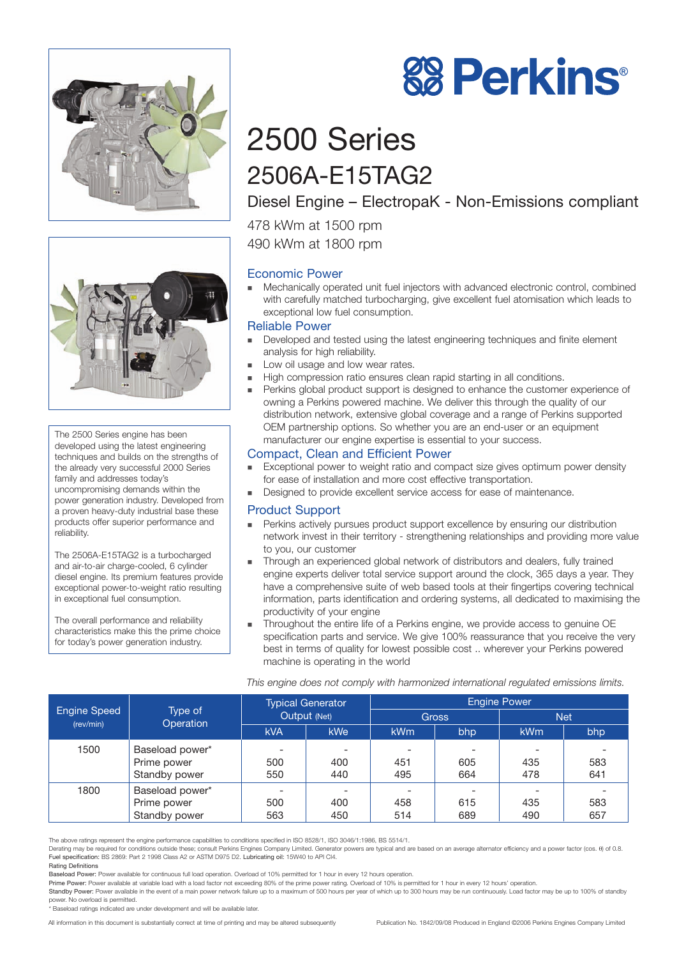



The 2500 Series engine has been developed using the latest engineering techniques and builds on the strengths of the already very successful 2000 Series family and addresses today's uncompromising demands within the power generation industry. Developed from a proven heavy-duty industrial base these products offer superior performance and reliability.

The 2506A-E15TAG2 is a turbocharged and air-to-air charge-cooled, 6 cylinder diesel engine. Its premium features provide exceptional power-to-weight ratio resulting in exceptional fuel consumption.

The overall performance and reliability characteristics make this the prime choice for today's power generation industry.

# **88 Perkins®**

# 2500 Series 2506A-E15TAG2

# Diesel Engine – ElectropaK - Non-Emissions compliant

478 kWm at 1500 rpm

490 kWm at 1800 rpm

## Economic Power

- Mechanically operated unit fuel injectors with advanced electronic control, combined with carefully matched turbocharging, give excellent fuel atomisation which leads to exceptional low fuel consumption.

#### Reliable Power

- - Developed and tested using the latest engineering techniques and finite element analysis for high reliability.
- -Low oil usage and low wear rates.
- -High compression ratio ensures clean rapid starting in all conditions.
- - Perkins global product support is designed to enhance the customer experience of owning a Perkins powered machine. We deliver this through the quality of our distribution network, extensive global coverage and a range of Perkins supported OEM partnership options. So whether you are an end-user or an equipment manufacturer our engine expertise is essential to your success.

### Compact, Clean and Efficient Power

- - Exceptional power to weight ratio and compact size gives optimum power density for ease of installation and more cost effective transportation.
- -Designed to provide excellent service access for ease of maintenance.

#### Product Support

- **EXECT:** Perkins actively pursues product support excellence by ensuring our distribution network invest in their territory - strengthening relationships and providing more value to you, our customer
- - Through an experienced global network of distributors and dealers, fully trained engine experts deliver total service support around the clock, 365 days a year. They have a comprehensive suite of web based tools at their fingertips covering technical information, parts identification and ordering systems, all dedicated to maximising the productivity of your engine
- - Throughout the entire life of a Perkins engine, we provide access to genuine OE specification parts and service. We give 100% reassurance that you receive the very best in terms of quality for lowest possible cost .. wherever your Perkins powered machine is operating in the world

|  | This engine does not comply with harmonized international regulated emissions limits. |  |  |
|--|---------------------------------------------------------------------------------------|--|--|
|  |                                                                                       |  |  |

|                                  | Type of<br>Operation | <b>Typical Generator</b><br>Output (Net) |                          | <b>Engine Power</b>      |     |            |     |
|----------------------------------|----------------------|------------------------------------------|--------------------------|--------------------------|-----|------------|-----|
| <b>Engine Speed</b><br>(rev/min) |                      |                                          |                          | <b>Gross</b>             |     | <b>Net</b> |     |
|                                  |                      | <b>kVA</b>                               | <b>kWe</b>               | <b>kWm</b>               | bhp | <b>kWm</b> | bhp |
| 1500                             | Baseload power*      |                                          | $\overline{\phantom{0}}$ | $\overline{\phantom{0}}$ | ۰   |            |     |
|                                  | Prime power          | 500                                      | 400                      | 451                      | 605 | 435        | 583 |
|                                  | Standby power        | 550                                      | 440                      | 495                      | 664 | 478        | 641 |
| 1800                             | Baseload power*      |                                          |                          |                          |     |            |     |
|                                  | Prime power          | 500                                      | 400                      | 458                      | 615 | 435        | 583 |
|                                  | Standby power        | 563                                      | 450                      | 514                      | 689 | 490        | 657 |

The above ratings represent the engine performance capabilities to conditions specified in ISO 8528/1, ISO 3046/1:1986, BS 5514/1.

Derating may be required for conditions outside these; consult Perkins Engines Company Limited. Generator powers are typical and are based on an average alternator efficiency and a power factor (cos. θ) of 0.8. Fuel specification: BS 2869: Part 2 1998 Class A2 or ASTM D975 D2. Lubricating oil: 15W40 to API CI4.

Rating Definitions Baseload Power: Power available for continuous full load operation. Overload of 10% permitted for 1 hour in every 12 hours operation.

Prime Power: Power available at variable load with a load factor not exceeding 80% of the prime power rating. Overload of 10% is permitted for 1 hour in every 12 hours' operation.<br>Standby Power: Power available in the even power. No overload is permitted.

\* Baseload ratings indicated are under development and will be available later.

All information in this document is substantially correct at time of printing and may be altered subsequently Publication No. 1842/09/08 Produced in England ©2006 Perkins Engines Company Limited